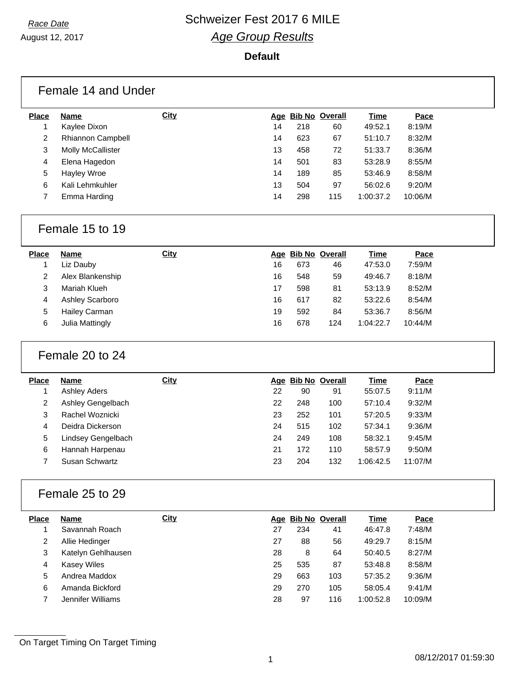### August 12, 2017

#### **Default**

|              | Female 14 and Under |             |    |     |                    |           |         |  |
|--------------|---------------------|-------------|----|-----|--------------------|-----------|---------|--|
| <b>Place</b> | Name                | <b>City</b> |    |     | Age Bib No Overall | Time      | Pace    |  |
|              | Kaylee Dixon        |             | 14 | 218 | 60                 | 49:52.1   | 8:19/M  |  |
| 2            | Rhiannon Campbell   |             | 14 | 623 | 67                 | 51:10.7   | 8:32/M  |  |
| 3            | Molly McCallister   |             | 13 | 458 | 72                 | 51:33.7   | 8:36/M  |  |
| 4            | Elena Hagedon       |             | 14 | 501 | 83                 | 53:28.9   | 8:55/M  |  |
| 5            | Hayley Wroe         |             | 14 | 189 | 85                 | 53:46.9   | 8:58/M  |  |
| 6            | Kali Lehmkuhler     |             | 13 | 504 | 97                 | 56:02.6   | 9:20/M  |  |
| 7            | Emma Harding        |             | 14 | 298 | 115                | 1:00:37.2 | 10:06/M |  |

### Female 15 to 19

| Name                   | <u>City</u> |    |     |     | Time               | Pace    |
|------------------------|-------------|----|-----|-----|--------------------|---------|
| Liz Dauby              |             | 16 | 673 | 46  | 47:53.0            | 7:59/M  |
| Alex Blankenship       |             | 16 | 548 | 59  | 49:46.7            | 8:18/M  |
| Mariah Klueh           |             | 17 | 598 | 81  | 53:13.9            | 8:52/M  |
| <b>Ashley Scarboro</b> |             | 16 | 617 | 82  | 53:22.6            | 8:54/M  |
| Hailey Carman          |             | 19 | 592 | 84  | 53:36.7            | 8:56/M  |
| Julia Mattingly        |             | 16 | 678 | 124 | 1:04:22.7          | 10:44/M |
|                        |             |    |     |     | Age Bib No Overall |         |

### Female 20 to 24

| <b>Place</b> | Name                | <b>City</b> |    | Age Bib No Overall |     | Time      | Pace    |  |
|--------------|---------------------|-------------|----|--------------------|-----|-----------|---------|--|
|              | <b>Ashley Aders</b> |             | 22 | 90                 | 91  | 55:07.5   | 9:11/M  |  |
| 2            | Ashley Gengelbach   |             | 22 | 248                | 100 | 57:10.4   | 9:32/M  |  |
| 3            | Rachel Woznicki     |             | 23 | 252                | 101 | 57:20.5   | 9:33/M  |  |
| 4            | Deidra Dickerson    |             | 24 | 515                | 102 | 57:34.1   | 9:36/M  |  |
| 5            | Lindsey Gengelbach  |             | 24 | 249                | 108 | 58:32.1   | 9:45/M  |  |
| 6            | Hannah Harpenau     |             | 21 | 172                | 110 | 58:57.9   | 9:50/M  |  |
|              | Susan Schwartz      |             | 23 | 204                | 132 | 1:06:42.5 | 11:07/M |  |
|              |                     |             |    |                    |     |           |         |  |

### Female 25 to 29

| <b>Place</b> | Name               | <b>City</b> |    | Age Bib No Overall |     | Time      | Pace    |
|--------------|--------------------|-------------|----|--------------------|-----|-----------|---------|
|              | Savannah Roach     |             | 27 | 234                | 41  | 46:47.8   | 7:48/M  |
| 2            | Allie Hedinger     |             | 27 | 88                 | 56  | 49:29.7   | 8:15/M  |
| 3            | Katelyn Gehlhausen |             | 28 | 8                  | 64  | 50:40.5   | 8:27/M  |
| 4            | <b>Kasey Wiles</b> |             | 25 | 535                | 87  | 53:48.8   | 8:58/M  |
| 5            | Andrea Maddox      |             | 29 | 663                | 103 | 57:35.2   | 9:36/M  |
| 6            | Amanda Bickford    |             | 29 | 270                | 105 | 58:05.4   | 9:41/M  |
|              | Jennifer Williams  |             | 28 | 97                 | 116 | 1:00:52.8 | 10:09/M |
|              |                    |             |    |                    |     |           |         |

On Target Timing On Target Timing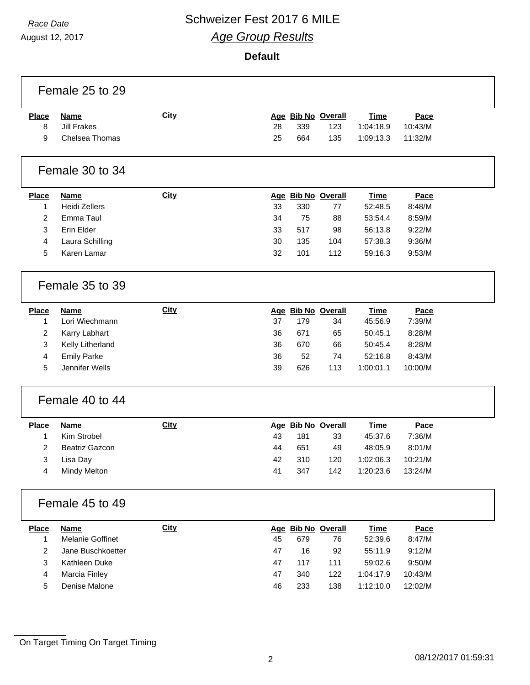August 12, 2017

#### **Default**

|                | Female 25 to 29         |             |    |     |                    |             |             |  |
|----------------|-------------------------|-------------|----|-----|--------------------|-------------|-------------|--|
| <b>Place</b>   | <b>Name</b>             | <b>City</b> |    |     | Age Bib No Overall | <b>Time</b> | Pace        |  |
| 8              | <b>Jill Frakes</b>      |             | 28 | 339 | 123                | 1:04:18.9   | 10:43/M     |  |
| 9              | Chelsea Thomas          |             | 25 | 664 | 135                | 1:09:13.3   | 11:32/M     |  |
|                | Female 30 to 34         |             |    |     |                    |             |             |  |
| <b>Place</b>   | <b>Name</b>             | City        |    |     | Age Bib No Overall | <b>Time</b> | Pace        |  |
| 1              | <b>Heidi Zellers</b>    |             | 33 | 330 | 77                 | 52:48.5     | 8:48/M      |  |
| $\overline{2}$ | Emma Taul               |             | 34 | 75  | 88                 | 53:54.4     | 8:59/M      |  |
| 3              | Erin Elder              |             | 33 | 517 | 98                 | 56:13.8     | 9:22/M      |  |
| 4              | Laura Schilling         |             | 30 | 135 | 104                | 57:38.3     | 9:36/M      |  |
| 5              | Karen Lamar             |             | 32 | 101 | 112                | 59:16.3     | 9:53/M      |  |
|                | Female 35 to 39         |             |    |     |                    |             |             |  |
| <b>Place</b>   | <b>Name</b>             | City        |    |     | Age Bib No Overall | <b>Time</b> | Pace        |  |
| 1              | Lori Wiechmann          |             | 37 | 179 | 34                 | 45:56.9     | 7:39/M      |  |
| $\overline{2}$ | Karry Labhart           |             | 36 | 671 | 65                 | 50:45.1     | 8:28/M      |  |
| 3              | Kelly Litherland        |             | 36 | 670 | 66                 | 50:45.4     | 8:28/M      |  |
| 4              | <b>Emily Parke</b>      |             | 36 | 52  | 74                 | 52:16.8     | 8:43/M      |  |
| 5              | Jennifer Wells          |             | 39 | 626 | 113                | 1:00:01.1   | 10:00/M     |  |
|                | Female 40 to 44         |             |    |     |                    |             |             |  |
| <b>Place</b>   | <b>Name</b>             | <b>City</b> |    |     | Age Bib No Overall | <b>Time</b> | <b>Pace</b> |  |
| 1              | Kim Strobel             |             | 43 | 181 | 33                 | 45:37.6     | 7:36/M      |  |
| 2              | <b>Beatriz Gazcon</b>   |             | 44 | 651 | 49                 | 48:05.9     | 8:01/M      |  |
| 3              | Lisa Day                |             | 42 | 310 | 120                | 1:02:06.3   | 10:21/M     |  |
| 4              | Mindy Melton            |             | 41 | 347 | 142                | 1:20:23.6   | 13:24/M     |  |
|                | Female 45 to 49         |             |    |     |                    |             |             |  |
| <b>Place</b>   | <b>Name</b>             | <b>City</b> |    |     | Age Bib No Overall | <b>Time</b> | Pace        |  |
| 1              | <b>Melanie Goffinet</b> |             | 45 | 679 | 76                 | 52:39.6     | 8:47/M      |  |
| $\overline{2}$ | Jane Buschkoetter       |             | 47 | 16  | 92                 | 55:11.9     | 9:12/M      |  |
| 3              | Kathleen Duke           |             | 47 | 117 | 111                | 59:02.6     | 9:50/M      |  |
| 4              | Marcia Finley           |             | 47 | 340 | 122                | 1:04:17.9   | 10:43/M     |  |
| 5              | Denise Malone           |             | 46 | 233 | 138                | 1:12:10.0   | 12:02/M     |  |
|                |                         |             |    |     |                    |             |             |  |

On Target Timing On Target Timing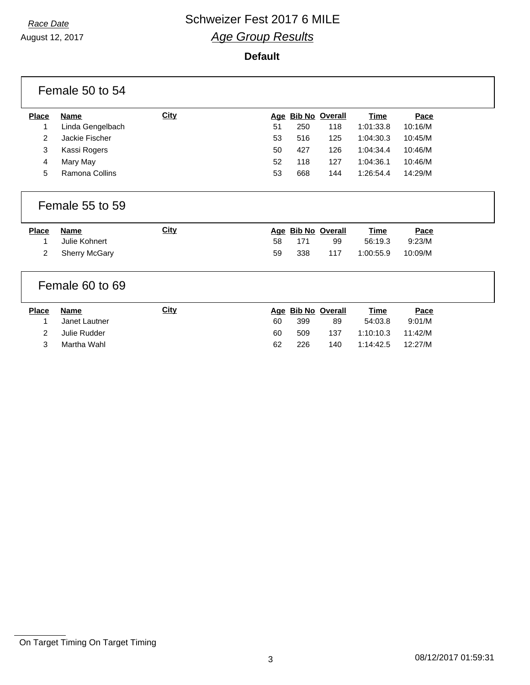August 12, 2017

#### **Default**

|                   | Female 50 to 54              |             |    |     |                          |                        |                |  |
|-------------------|------------------------------|-------------|----|-----|--------------------------|------------------------|----------------|--|
| <b>Place</b>      | <b>Name</b>                  | <b>City</b> |    |     | Age Bib No Overall       | <b>Time</b>            | Pace           |  |
| 1                 | Linda Gengelbach             |             | 51 | 250 | 118                      | 1:01:33.8              | 10:16/M        |  |
| 2                 | Jackie Fischer               |             | 53 | 516 | 125                      | 1:04:30.3              | 10:45/M        |  |
| 3                 | Kassi Rogers                 |             | 50 | 427 | 126                      | 1:04:34.4              | 10:46/M        |  |
| 4                 | Mary May                     |             | 52 | 118 | 127                      | 1:04:36.1              | 10:46/M        |  |
| 5                 | Ramona Collins               |             | 53 | 668 | 144                      | 1:26:54.4              | 14:29/M        |  |
|                   | Female 55 to 59              |             |    |     |                          |                        |                |  |
|                   |                              |             |    |     |                          |                        |                |  |
| <b>Place</b><br>1 | <b>Name</b><br>Julie Kohnert | <b>City</b> | 58 | 171 | Age Bib No Overall<br>99 | <b>Time</b><br>56:19.3 | Pace<br>9:23/M |  |
| 2                 | <b>Sherry McGary</b>         |             | 59 | 338 | 117                      | 1:00:55.9              | 10:09/M        |  |
|                   | Female 60 to 69              |             |    |     |                          |                        |                |  |
| <b>Place</b>      | <b>Name</b>                  | <b>City</b> |    |     | Age Bib No Overall       | <b>Time</b>            | Pace           |  |
| 1                 | Janet Lautner                |             | 60 | 399 | 89                       | 54:03.8                | 9:01/M         |  |
| 2                 | Julie Rudder                 |             | 60 | 509 | 137                      | 1:10:10.3              | 11:42/M        |  |

On Target Timing On Target Timing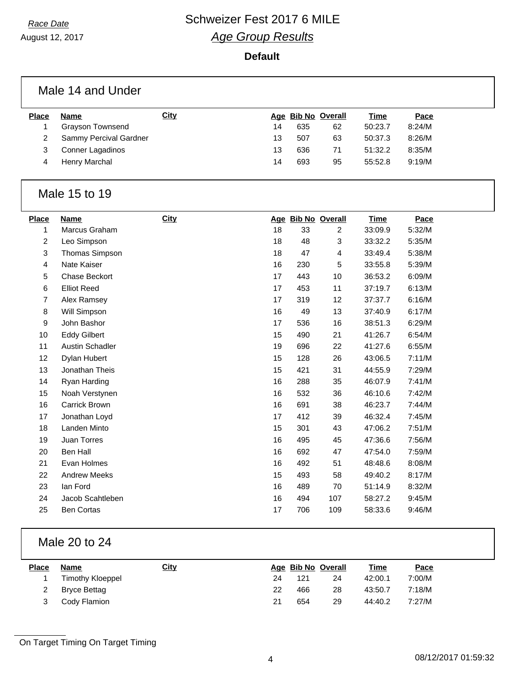August 12, 2017

#### **Default**

|              | Male 14 and Under      |             |    |     |                    |         |        |  |
|--------------|------------------------|-------------|----|-----|--------------------|---------|--------|--|
| <b>Place</b> | Name                   | <b>City</b> |    |     | Age Bib No Overall | Time    | Pace   |  |
|              | Grayson Townsend       |             | 14 | 635 | 62                 | 50:23.7 | 8:24/M |  |
| 2            | Sammy Percival Gardner |             | 13 | 507 | 63                 | 50:37.3 | 8:26/M |  |
| 3            | Conner Lagadinos       |             | 13 | 636 | 71                 | 51:32.2 | 8:35/M |  |
| 4            | Henry Marchal          |             | 14 | 693 | 95                 | 55:52.8 | 9:19/M |  |

### Male 15 to 19

| <b>Name</b>         | <b>City</b> |    |     |                | Time               | Pace   |
|---------------------|-------------|----|-----|----------------|--------------------|--------|
| Marcus Graham       |             | 18 | 33  | $\overline{2}$ | 33:09.9            | 5:32/M |
| Leo Simpson         |             | 18 | 48  | 3              | 33:32.2            | 5:35/M |
| Thomas Simpson      |             | 18 | 47  | 4              | 33:49.4            | 5:38/M |
| Nate Kaiser         |             | 16 | 230 | 5              | 33:55.8            | 5:39/M |
| Chase Beckort       |             | 17 | 443 | 10             | 36:53.2            | 6:09/M |
| <b>Elliot Reed</b>  |             | 17 | 453 | 11             | 37:19.7            | 6:13/M |
| Alex Ramsey         |             | 17 | 319 | 12             | 37:37.7            | 6:16/M |
| Will Simpson        |             | 16 | 49  | 13             | 37:40.9            | 6:17/M |
| John Bashor         |             | 17 | 536 | 16             | 38:51.3            | 6:29/M |
| <b>Eddy Gilbert</b> |             | 15 | 490 | 21             | 41:26.7            | 6:54/M |
| Austin Schadler     |             | 19 | 696 | 22             | 41:27.6            | 6:55/M |
| Dylan Hubert        |             | 15 | 128 | 26             | 43:06.5            | 7:11/M |
| Jonathan Theis      |             | 15 | 421 | 31             | 44:55.9            | 7:29/M |
| Ryan Harding        |             | 16 | 288 | 35             | 46:07.9            | 7:41/M |
| Noah Verstynen      |             | 16 | 532 | 36             | 46:10.6            | 7:42/M |
| Carrick Brown       |             | 16 | 691 | 38             | 46:23.7            | 7:44/M |
| Jonathan Loyd       |             | 17 | 412 | 39             | 46:32.4            | 7:45/M |
| Landen Minto        |             | 15 | 301 | 43             | 47:06.2            | 7:51/M |
| Juan Torres         |             | 16 | 495 | 45             | 47:36.6            | 7:56/M |
| <b>Ben Hall</b>     |             | 16 | 692 | 47             | 47:54.0            | 7:59/M |
| Evan Holmes         |             | 16 | 492 | 51             | 48:48.6            | 8:08/M |
| <b>Andrew Meeks</b> |             | 15 | 493 | 58             | 49:40.2            | 8:17/M |
| lan Ford            |             | 16 | 489 | 70             | 51:14.9            | 8:32/M |
| Jacob Scahtleben    |             | 16 | 494 | 107            | 58:27.2            | 9:45/M |
| <b>Ben Cortas</b>   |             | 17 | 706 | 109            | 58:33.6            | 9:46/M |
|                     |             |    |     |                | Age Bib No Overall |        |

### Male 20 to 24

| <b>Place</b> | <b>Name</b>             | <u>City</u> |    |     | Age Bib No Overall | <u>Time</u> | <u>Pace</u> |
|--------------|-------------------------|-------------|----|-----|--------------------|-------------|-------------|
|              | <b>Timothy Kloeppel</b> |             | 24 | 121 | 24                 | 42:00.1     | 7:00/M      |
|              | Bryce Bettag            |             | 22 | 466 | 28                 | 43:50.7     | 7:18/M      |
|              | Cody Flamion            |             | 21 | 654 | 29                 | 44:40.2     | 7:27/M      |

On Target Timing On Target Timing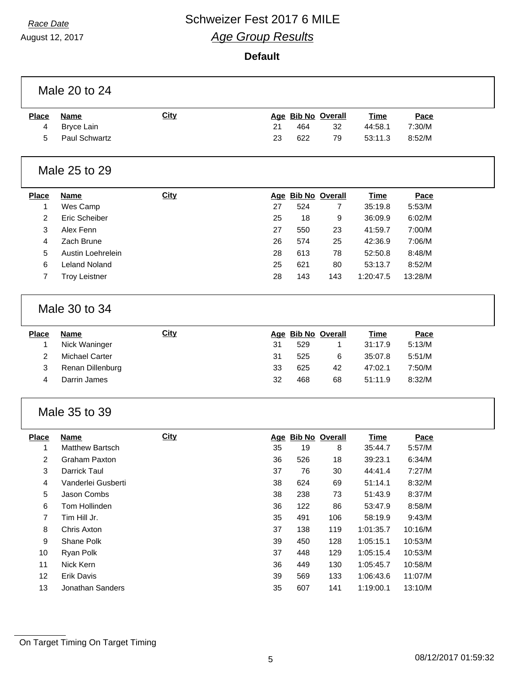$\Gamma$ 

## **Race Date Schweizer Fest 2017 6 MILE** *Age Group Results*

August 12, 2017

#### **Default**

|                | Male 20 to 24        |             |    |     |                    |             |         |  |
|----------------|----------------------|-------------|----|-----|--------------------|-------------|---------|--|
| <b>Place</b>   | <b>Name</b>          | <b>City</b> |    |     | Age Bib No Overall | <b>Time</b> | Pace    |  |
| 4              | <b>Bryce Lain</b>    |             | 21 | 464 | 32                 | 44:58.1     | 7:30/M  |  |
| 5              | Paul Schwartz        |             | 23 | 622 | 79                 | 53:11.3     | 8:52/M  |  |
|                | Male 25 to 29        |             |    |     |                    |             |         |  |
| <b>Place</b>   | <b>Name</b>          | City        |    |     | Age Bib No Overall | <b>Time</b> | Pace    |  |
| 1              | Wes Camp             |             | 27 | 524 | 7                  | 35:19.8     | 5:53/M  |  |
| $\overline{2}$ | Eric Scheiber        |             | 25 | 18  | 9                  | 36:09.9     | 6:02/M  |  |
| 3              | Alex Fenn            |             | 27 | 550 | 23                 | 41:59.7     | 7:00/M  |  |
| 4              | Zach Brune           |             | 26 | 574 | 25                 | 42:36.9     | 7:06/M  |  |
| 5              | Austin Loehrelein    |             | 28 | 613 | 78                 | 52:50.8     | 8:48/M  |  |
| 6              | <b>Leland Noland</b> |             | 25 | 621 | 80                 | 53:13.7     | 8:52/M  |  |
| 7              | <b>Troy Leistner</b> |             | 28 | 143 | 143                | 1:20:47.5   | 13:28/M |  |
|                |                      |             |    |     |                    |             |         |  |
|                | Male 30 to 34        |             |    |     |                    |             |         |  |
| <b>Place</b>   | <b>Name</b>          | City        |    |     | Age Bib No Overall | <b>Time</b> | Pace    |  |
| 1              | Nick Waninger        |             | 31 | 529 | 1                  | 31:17.9     | 5:13/M  |  |
| $\overline{2}$ | Michael Carter       |             | 31 | 525 | 6                  | 35:07.8     | 5:51/M  |  |
| 3              | Renan Dillenburg     |             | 33 | 625 | 42                 | 47:02.1     | 7:50/M  |  |
| 4              | Darrin James         |             | 32 | 468 | 68                 | 51:11.9     | 8:32/M  |  |
|                | Male 35 to 39        |             |    |     |                    |             |         |  |
| <b>Place</b>   | <b>Name</b>          | <b>City</b> |    |     | Age Bib No Overall | <b>Time</b> | Pace    |  |
| 1              | Matthew Bartsch      |             | 35 | 19  | 8                  | 35:44.7     | 5:57/M  |  |
| 2              | Graham Paxton        |             | 36 | 526 | 18                 | 39:23.1     | 6:34/M  |  |
| 3              | Darrick Taul         |             | 37 | 76  | 30                 | 44:41.4     | 7:27/M  |  |
| 4              | Vanderlei Gusberti   |             | 38 | 624 | 69                 | 51:14.1     | 8:32/M  |  |
| 5              | Jason Combs          |             | 38 | 238 | 73                 | 51:43.9     | 8:37/M  |  |
| 6              | Tom Hollinden        |             | 36 | 122 | 86                 | 53:47.9     | 8:58/M  |  |
| 7              | Tim Hill Jr.         |             | 35 | 491 | 106                | 58:19.9     | 9:43/M  |  |
| 8              | Chris Axton          |             | 37 | 138 | 119                | 1:01:35.7   | 10:16/M |  |
| 9              | Shane Polk           |             | 39 | 450 | 128                | 1:05:15.1   | 10:53/M |  |
| 10             | Ryan Polk            |             | 37 | 448 | 129                | 1:05:15.4   | 10:53/M |  |
| 11             | Nick Kern            |             | 36 | 449 | 130                | 1:05:45.7   | 10:58/M |  |
| 12             | Erik Davis           |             | 39 | 569 | 133                | 1:06:43.6   | 11:07/M |  |
| 13             | Jonathan Sanders     |             | 35 | 607 | 141                | 1:19:00.1   | 13:10/M |  |
|                |                      |             |    |     |                    |             |         |  |

On Target Timing On Target Timing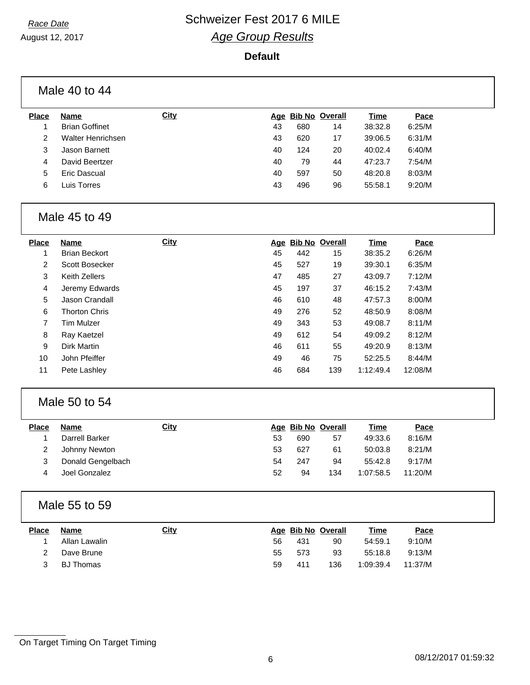August 12, 2017

#### **Default**

| <b>Place</b>   | <b>Name</b>           | City        |    |     | Age Bib No Overall | <b>Time</b> | Pace    |
|----------------|-----------------------|-------------|----|-----|--------------------|-------------|---------|
| 1              | <b>Brian Goffinet</b> |             | 43 | 680 | 14                 | 38:32.8     | 6:25/M  |
| $\overline{c}$ | Walter Henrichsen     |             | 43 | 620 | 17                 | 39:06.5     | 6:31/M  |
| 3              | Jason Barnett         |             | 40 | 124 | 20                 | 40:02.4     | 6:40/M  |
| 4              | David Beertzer        |             | 40 | 79  | 44                 | 47:23.7     | 7:54/M  |
| 5              | <b>Eric Dascual</b>   |             | 40 | 597 | 50                 | 48:20.8     | 8:03/M  |
| 6              | Luis Torres           |             | 43 | 496 | 96                 | 55:58.1     | 9:20/M  |
|                | Male 45 to 49         |             |    |     |                    |             |         |
| <b>Place</b>   | <b>Name</b>           | City        |    |     | Age Bib No Overall | <b>Time</b> | Pace    |
| 1              | <b>Brian Beckort</b>  |             | 45 | 442 | 15                 | 38:35.2     | 6:26/M  |
| 2              | Scott Bosecker        |             | 45 | 527 | 19                 | 39:30.1     | 6:35/M  |
| 3              | Keith Zellers         |             | 47 | 485 | 27                 | 43:09.7     | 7:12/M  |
| 4              | Jeremy Edwards        |             | 45 | 197 | 37                 | 46:15.2     | 7:43/M  |
| 5              | Jason Crandall        |             | 46 | 610 | 48                 | 47:57.3     | 8:00/M  |
| 6              | <b>Thorton Chris</b>  |             | 49 | 276 | 52                 | 48:50.9     | 8:08/M  |
| 7              | <b>Tim Mulzer</b>     |             | 49 | 343 | 53                 | 49:08.7     | 8:11/M  |
| 8              | Ray Kaetzel           |             | 49 | 612 | 54                 | 49:09.2     | 8:12/M  |
| 9              | <b>Dirk Martin</b>    |             | 46 | 611 | 55                 | 49:20.9     | 8:13/M  |
| 10             | John Pfeiffer         |             | 49 | 46  | 75                 | 52:25.5     | 8:44/M  |
| 11             | Pete Lashley          |             | 46 | 684 | 139                | 1:12:49.4   | 12:08/M |
|                | Male 50 to 54         |             |    |     |                    |             |         |
| Place          | <b>Name</b>           | City        |    |     | Age Bib No Overall | <b>Time</b> | Pace    |
| 1              | Darrell Barker        |             | 53 | 690 | 57                 | 49:33.6     | 8:16/M  |
| 2              | Johnny Newton         |             | 53 | 627 | 61                 | 50:03.8     | 8:21/M  |
| 3              | Donald Gengelbach     |             | 54 | 247 | 94                 | 55:42.8     | 9:17/M  |
| 4              | Joel Gonzalez         |             | 52 | 94  | 134                | 1:07:58.5   | 11:20/M |
|                | Male 55 to 59         |             |    |     |                    |             |         |
| <b>Place</b>   | <b>Name</b>           | <b>City</b> |    |     | Age Bib No Overall | <b>Time</b> | Pace    |
| 1              | Allan Lawalin         |             | 56 | 431 | 90                 | 54:59.1     | 9:10/M  |

On Target Timing On Target Timing

 Dave Brune 55 573 93 55:18.8 9:13/M BJ Thomas 59 411 136 1:09:39.4 11:37/M